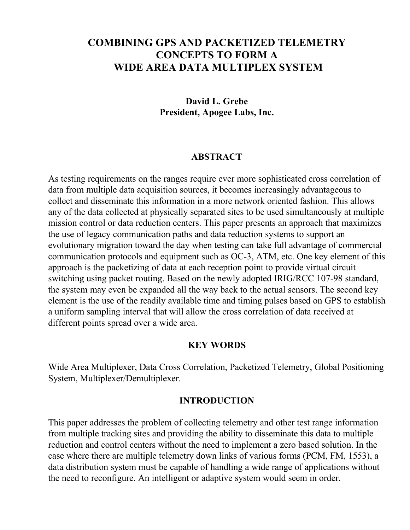# **COMBINING GPS AND PACKETIZED TELEMETRY CONCEPTS TO FORM A WIDE AREA DATA MULTIPLEX SYSTEM**

#### **David L. Grebe President, Apogee Labs, Inc.**

#### **ABSTRACT**

As testing requirements on the ranges require ever more sophisticated cross correlation of data from multiple data acquisition sources, it becomes increasingly advantageous to collect and disseminate this information in a more network oriented fashion. This allows any of the data collected at physically separated sites to be used simultaneously at multiple mission control or data reduction centers. This paper presents an approach that maximizes the use of legacy communication paths and data reduction systems to support an evolutionary migration toward the day when testing can take full advantage of commercial communication protocols and equipment such as OC-3, ATM, etc. One key element of this approach is the packetizing of data at each reception point to provide virtual circuit switching using packet routing. Based on the newly adopted IRIG/RCC 107-98 standard, the system may even be expanded all the way back to the actual sensors. The second key element is the use of the readily available time and timing pulses based on GPS to establish a uniform sampling interval that will allow the cross correlation of data received at different points spread over a wide area.

#### **KEY WORDS**

Wide Area Multiplexer, Data Cross Correlation, Packetized Telemetry, Global Positioning System, Multiplexer/Demultiplexer.

#### **INTRODUCTION**

This paper addresses the problem of collecting telemetry and other test range information from multiple tracking sites and providing the ability to disseminate this data to multiple reduction and control centers without the need to implement a zero based solution. In the case where there are multiple telemetry down links of various forms (PCM, FM, 1553), a data distribution system must be capable of handling a wide range of applications without the need to reconfigure. An intelligent or adaptive system would seem in order.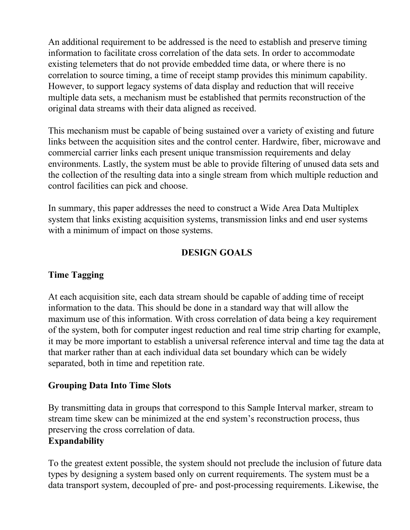An additional requirement to be addressed is the need to establish and preserve timing information to facilitate cross correlation of the data sets. In order to accommodate existing telemeters that do not provide embedded time data, or where there is no correlation to source timing, a time of receipt stamp provides this minimum capability. However, to support legacy systems of data display and reduction that will receive multiple data sets, a mechanism must be established that permits reconstruction of the original data streams with their data aligned as received.

This mechanism must be capable of being sustained over a variety of existing and future links between the acquisition sites and the control center. Hardwire, fiber, microwave and commercial carrier links each present unique transmission requirements and delay environments. Lastly, the system must be able to provide filtering of unused data sets and the collection of the resulting data into a single stream from which multiple reduction and control facilities can pick and choose.

In summary, this paper addresses the need to construct a Wide Area Data Multiplex system that links existing acquisition systems, transmission links and end user systems with a minimum of impact on those systems.

## **DESIGN GOALS**

## **Time Tagging**

At each acquisition site, each data stream should be capable of adding time of receipt information to the data. This should be done in a standard way that will allow the maximum use of this information. With cross correlation of data being a key requirement of the system, both for computer ingest reduction and real time strip charting for example, it may be more important to establish a universal reference interval and time tag the data at that marker rather than at each individual data set boundary which can be widely separated, both in time and repetition rate.

## **Grouping Data Into Time Slots**

By transmitting data in groups that correspond to this Sample Interval marker, stream to stream time skew can be minimized at the end system's reconstruction process, thus preserving the cross correlation of data.

## **Expandability**

To the greatest extent possible, the system should not preclude the inclusion of future data types by designing a system based only on current requirements. The system must be a data transport system, decoupled of pre- and post-processing requirements. Likewise, the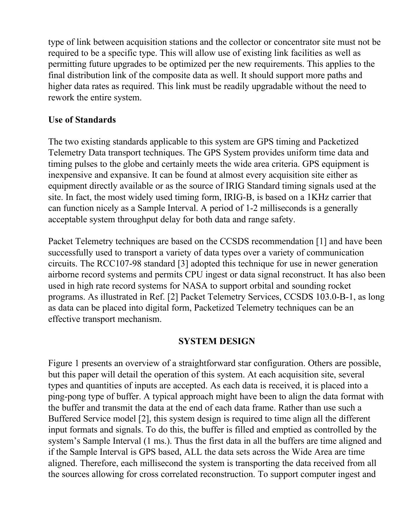type of link between acquisition stations and the collector or concentrator site must not be required to be a specific type. This will allow use of existing link facilities as well as permitting future upgrades to be optimized per the new requirements. This applies to the final distribution link of the composite data as well. It should support more paths and higher data rates as required. This link must be readily upgradable without the need to rework the entire system.

### **Use of Standards**

The two existing standards applicable to this system are GPS timing and Packetized Telemetry Data transport techniques. The GPS System provides uniform time data and timing pulses to the globe and certainly meets the wide area criteria. GPS equipment is inexpensive and expansive. It can be found at almost every acquisition site either as equipment directly available or as the source of IRIG Standard timing signals used at the site. In fact, the most widely used timing form, IRIG-B, is based on a 1KHz carrier that can function nicely as a Sample Interval. A period of 1-2 milliseconds is a generally acceptable system throughput delay for both data and range safety.

Packet Telemetry techniques are based on the CCSDS recommendation [1] and have been successfully used to transport a variety of data types over a variety of communication circuits. The RCC107-98 standard [3] adopted this technique for use in newer generation airborne record systems and permits CPU ingest or data signal reconstruct. It has also been used in high rate record systems for NASA to support orbital and sounding rocket programs. As illustrated in Ref. [2] Packet Telemetry Services, CCSDS 103.0-B-1, as long as data can be placed into digital form, Packetized Telemetry techniques can be an effective transport mechanism.

#### **SYSTEM DESIGN**

Figure 1 presents an overview of a straightforward star configuration. Others are possible, but this paper will detail the operation of this system. At each acquisition site, several types and quantities of inputs are accepted. As each data is received, it is placed into a ping-pong type of buffer. A typical approach might have been to align the data format with the buffer and transmit the data at the end of each data frame. Rather than use such a Buffered Service model [2], this system design is required to time align all the different input formats and signals. To do this, the buffer is filled and emptied as controlled by the system's Sample Interval (1 ms.). Thus the first data in all the buffers are time aligned and if the Sample Interval is GPS based, ALL the data sets across the Wide Area are time aligned. Therefore, each millisecond the system is transporting the data received from all the sources allowing for cross correlated reconstruction. To support computer ingest and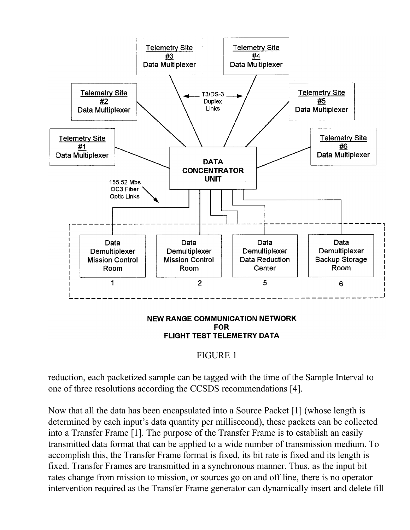

#### **NEW RANGE COMMUNICATION NETWORK FOR** FLIGHT TEST TELEMETRY DATA

## FIGURE 1

reduction, each packetized sample can be tagged with the time of the Sample Interval to one of three resolutions according the CCSDS recommendations [4].

Now that all the data has been encapsulated into a Source Packet [1] (whose length is determined by each input's data quantity per millisecond), these packets can be collected into a Transfer Frame [1]. The purpose of the Transfer Frame is to establish an easily transmitted data format that can be applied to a wide number of transmission medium. To accomplish this, the Transfer Frame format is fixed, its bit rate is fixed and its length is fixed. Transfer Frames are transmitted in a synchronous manner. Thus, as the input bit rates change from mission to mission, or sources go on and off line, there is no operator intervention required as the Transfer Frame generator can dynamically insert and delete fill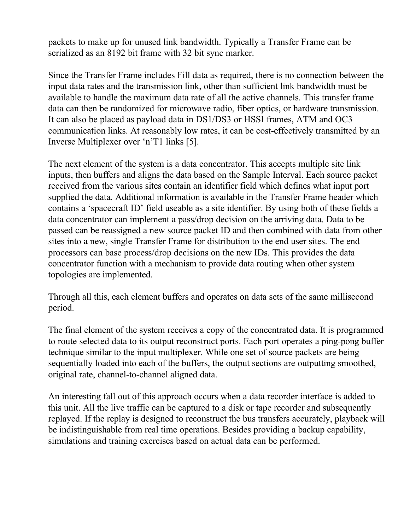packets to make up for unused link bandwidth. Typically a Transfer Frame can be serialized as an 8192 bit frame with 32 bit sync marker.

Since the Transfer Frame includes Fill data as required, there is no connection between the input data rates and the transmission link, other than sufficient link bandwidth must be available to handle the maximum data rate of all the active channels. This transfer frame data can then be randomized for microwave radio, fiber optics, or hardware transmission. It can also be placed as payload data in DS1/DS3 or HSSI frames, ATM and OC3 communication links. At reasonably low rates, it can be cost-effectively transmitted by an Inverse Multiplexer over 'n'T1 links [5].

The next element of the system is a data concentrator. This accepts multiple site link inputs, then buffers and aligns the data based on the Sample Interval. Each source packet received from the various sites contain an identifier field which defines what input port supplied the data. Additional information is available in the Transfer Frame header which contains a 'spacecraft ID' field useable as a site identifier. By using both of these fields a data concentrator can implement a pass/drop decision on the arriving data. Data to be passed can be reassigned a new source packet ID and then combined with data from other sites into a new, single Transfer Frame for distribution to the end user sites. The end processors can base process/drop decisions on the new IDs. This provides the data concentrator function with a mechanism to provide data routing when other system topologies are implemented.

Through all this, each element buffers and operates on data sets of the same millisecond period.

The final element of the system receives a copy of the concentrated data. It is programmed to route selected data to its output reconstruct ports. Each port operates a ping-pong buffer technique similar to the input multiplexer. While one set of source packets are being sequentially loaded into each of the buffers, the output sections are outputting smoothed, original rate, channel-to-channel aligned data.

An interesting fall out of this approach occurs when a data recorder interface is added to this unit. All the live traffic can be captured to a disk or tape recorder and subsequently replayed. If the replay is designed to reconstruct the bus transfers accurately, playback will be indistinguishable from real time operations. Besides providing a backup capability, simulations and training exercises based on actual data can be performed.